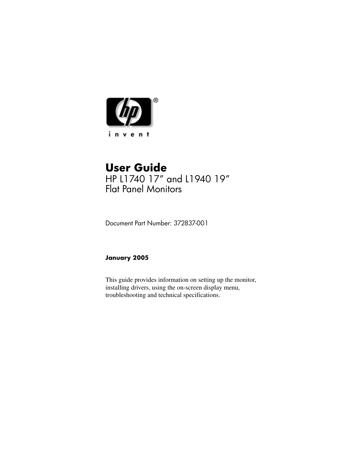

### **User Guide** HP L1740 17" and L1940 19" Flat Panel Monitors

Document Part Number: 372837-001

#### **January 2005**

This guide provides information on setting up the monitor, installing drivers, using the on-screen display menu, troubleshooting and technical specifications.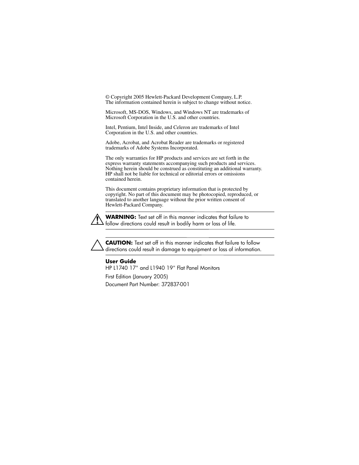© Copyright 2005 Hewlett-Packard Development Company, L.P. The information contained herein is subject to change without notice.

Microsoft, MS-DOS, Windows, and Windows NT are trademarks of Microsoft Corporation in the U.S. and other countries.

Intel, Pentium, Intel Inside, and Celeron are trademarks of Intel Corporation in the U.S. and other countries.

Adobe, Acrobat, and Acrobat Reader are trademarks or registered trademarks of Adobe Systems Incorporated.

The only warranties for HP products and services are set forth in the express warranty statements accompanying such products and services. Nothing herein should be construed as constituting an additional warranty. HP shall not be liable for technical or editorial errors or omissions contained herein.

This document contains proprietary information that is protected by copyright. No part of this document may be photocopied, reproduced, or translated to another language without the prior written consent of Hewlett-Packard Company.



**WARNING:** Text set off in this manner indicates that failure to follow directions could result in bodily harm or loss of life.

**CAUTION:** Text set off in this manner indicates that failure to follow directions could result in damage to equipment or loss of information.

#### **User Guide**

HP L1740 17" and L1940 19" Flat Panel Monitors

First Edition (January 2005) Document Part Number: 372837-001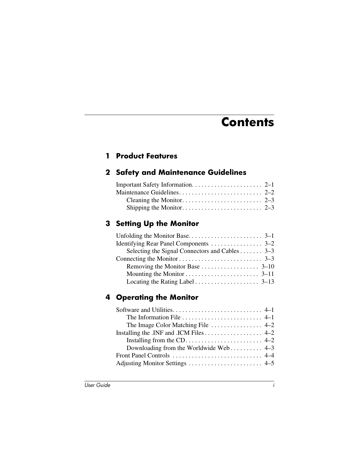# **Contents**

#### **[1](#page-5-0) [Product Features](#page-5-1)**

#### **[2](#page-7-0) [Safety and Maintenance Guidelines](#page-7-1)**

#### **[3](#page-10-0) [Setting Up the Monitor](#page-10-1)**

| Selecting the Signal Connectors and Cables 3–3 |  |
|------------------------------------------------|--|
|                                                |  |
|                                                |  |
|                                                |  |
|                                                |  |

#### **[4](#page-23-0) [Operating the Monitor](#page-23-1)**

| The Image Color Matching File $\dots \dots \dots \dots \dots$ 4-2 |  |
|-------------------------------------------------------------------|--|
| Installing the .INF and .ICM Files 4–2                            |  |
|                                                                   |  |
| Downloading from the Worldwide Web 4–3                            |  |
|                                                                   |  |
|                                                                   |  |
|                                                                   |  |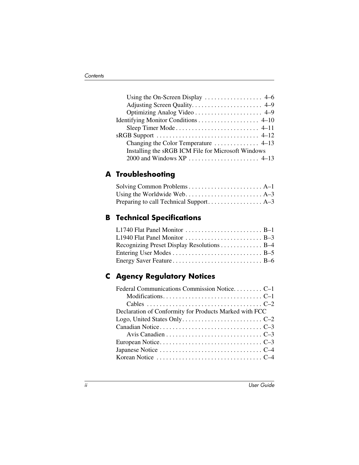| Identifying Monitor Conditions 4–10                |
|----------------------------------------------------|
|                                                    |
|                                                    |
|                                                    |
| Installing the sRGB ICM File for Microsoft Windows |
|                                                    |

#### **[A](#page-36-0) [Troubleshooting](#page-36-1)**

#### **[B](#page-39-0) [Technical Specifications](#page-39-1)**

| Recognizing Preset Display Resolutions B-4 |  |
|--------------------------------------------|--|
|                                            |  |
|                                            |  |

#### **[C](#page-45-0) [Agency Regulatory Notices](#page-45-1)**

| Declaration of Conformity for Products Marked with FCC |  |
|--------------------------------------------------------|--|
|                                                        |  |
|                                                        |  |
|                                                        |  |
|                                                        |  |
|                                                        |  |
|                                                        |  |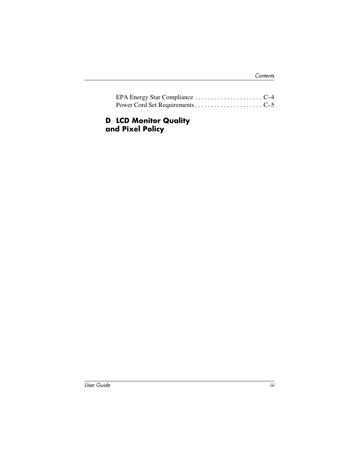#### **[D](#page-50-0) [LCD Monitor Quality](#page-50-1)  [and Pixel Policy](#page-50-1)**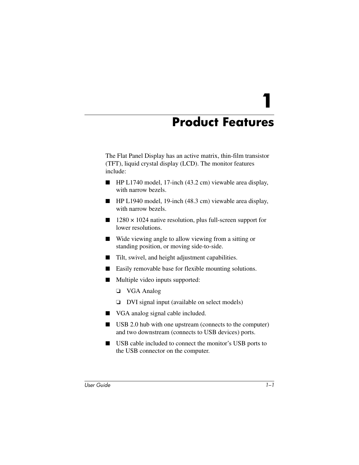**1**

# **Product Features**

<span id="page-5-1"></span><span id="page-5-0"></span>The Flat Panel Display has an active matrix, thin-film transistor (TFT), liquid crystal display (LCD). The monitor features include:

- HP L1740 model, 17-inch (43.2 cm) viewable area display, with narrow bezels
- HP L1940 model, 19-inch (48.3 cm) viewable area display, with narrow bezels.
- $\blacksquare$  1280  $\times$  1024 native resolution, plus full-screen support for lower resolutions.
- Wide viewing angle to allow viewing from a sitting or standing position, or moving side-to-side.
- Tilt, swivel, and height adjustment capabilities.
- Easily removable base for flexible mounting solutions.
- Multiple video inputs supported:
	- ❏ VGA Analog
	- ❏ DVI signal input (available on select models)
- VGA analog signal cable included.
- USB 2.0 hub with one upstream (connects to the computer) and two downstream (connects to USB devices) ports.
- USB cable included to connect the monitor's USB ports to the USB connector on the computer.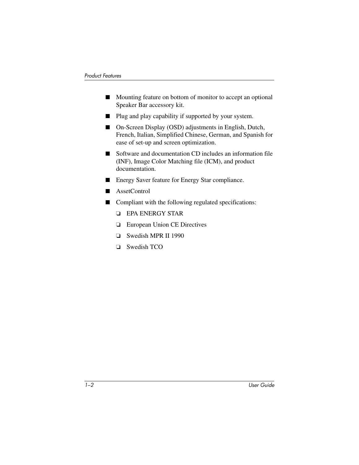- Mounting feature on bottom of monitor to accept an optional Speaker Bar accessory kit.
- Plug and play capability if supported by your system.
- On-Screen Display (OSD) adjustments in English, Dutch, French, Italian, Simplified Chinese, German, and Spanish for ease of set-up and screen optimization.
- Software and documentation CD includes an information file (INF), Image Color Matching file (ICM), and product documentation.
- Energy Saver feature for Energy Star compliance.
- AssetControl
- Compliant with the following regulated specifications:
	- ❏ EPA ENERGY STAR
	- ❏ European Union CE Directives
	- ❏ Swedish MPR II 1990
	- ❏ Swedish TCO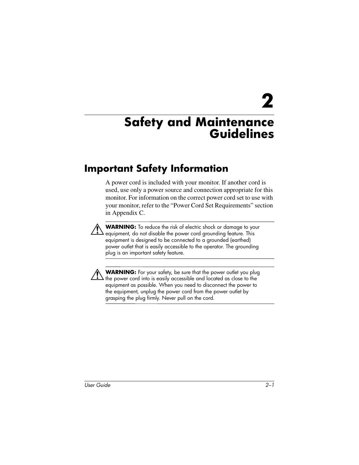**2**

# <span id="page-7-1"></span><span id="page-7-0"></span>**Safety and Maintenance Guidelines**

## <span id="page-7-2"></span>**Important Safety Information**

A power cord is included with your monitor. If another cord is used, use only a power source and connection appropriate for this monitor. For information on the correct power cord set to use with your monitor, refer to the "Power Cord Set Requirements" section in Appendix C.

**WARNING:** To reduce the risk of electric shock or damage to your equipment, do not disable the power cord grounding feature. This equipment is designed to be connected to a grounded (earthed) power outlet that is easily accessible to the operator. The grounding plug is an important safety feature.



**WARNING:** For your safety, be sure that the power outlet you plug the power cord into is easily accessible and located as close to the equipment as possible. When you need to disconnect the power to the equipment, unplug the power cord from the power outlet by grasping the plug firmly. Never pull on the cord.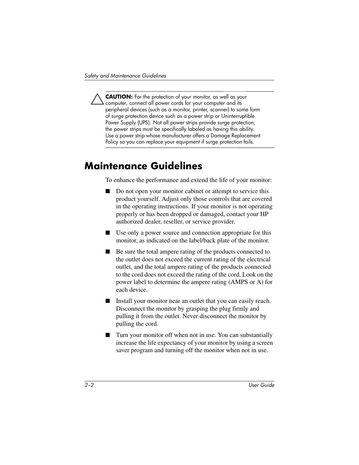**CAUTION:** For the protection of your monitor, as well as your computer, connect all power cords for your computer and its peripheral devices (such as a monitor, printer, scanner) to some form of surge protection device such as a power strip or Uninterruptible Power Supply (UPS). Not all power strips provide surge protection; the power strips must be specifically labeled as having this ability. Use a power strip whose manufacturer offers a Damage Replacement Policy so you can replace your equipment if surge protection fails.

## <span id="page-8-0"></span>**Maintenance Guidelines**

To enhance the performance and extend the life of your monitor:

- Do not open your monitor cabinet or attempt to service this product yourself. Adjust only those controls that are covered in the operating instructions. If your monitor is not operating properly or has been dropped or damaged, contact your HP authorized dealer, reseller, or service provider.
- Use only a power source and connection appropriate for this monitor, as indicated on the label/back plate of the monitor.
- Be sure the total ampere rating of the products connected to the outlet does not exceed the current rating of the electrical outlet, and the total ampere rating of the products connected to the cord does not exceed the rating of the cord. Look on the power label to determine the ampere rating (AMPS or A) for each device.
- Install your monitor near an outlet that you can easily reach. Disconnect the monitor by grasping the plug firmly and pulling it from the outlet. Never disconnect the monitor by pulling the cord.
- Turn your monitor off when not in use. You can substantially increase the life expectancy of your monitor by using a screen saver program and turning off the monitor when not in use.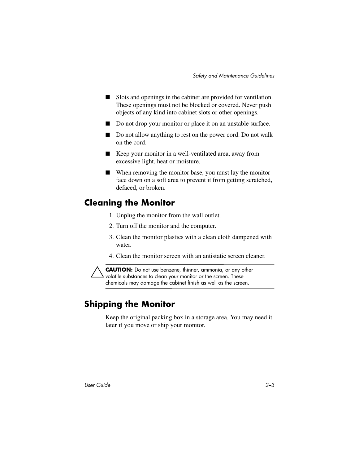- Slots and openings in the cabinet are provided for ventilation. These openings must not be blocked or covered. Never push objects of any kind into cabinet slots or other openings.
- Do not drop your monitor or place it on an unstable surface.
- Do not allow anything to rest on the power cord. Do not walk on the cord.
- Keep your monitor in a well-ventilated area, away from excessive light, heat or moisture.
- When removing the monitor base, you must lay the monitor face down on a soft area to prevent it from getting scratched, defaced, or broken.

#### <span id="page-9-0"></span>**Cleaning the Monitor**

- 1. Unplug the monitor from the wall outlet.
- 2. Turn off the monitor and the computer.
- 3. Clean the monitor plastics with a clean cloth dampened with water.
- 4. Clean the monitor screen with an antistatic screen cleaner.

**CAUTION:** Do not use benzene, thinner, ammonia, or any other volatile substances to clean your monitor or the screen. These chemicals may damage the cabinet finish as well as the screen.

#### <span id="page-9-1"></span>**Shipping the Monitor**

Keep the original packing box in a storage area. You may need it later if you move or ship your monitor.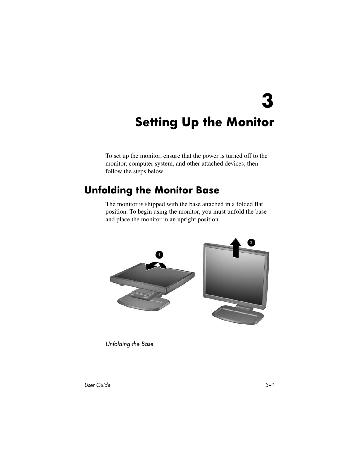**3**

# <span id="page-10-0"></span>**Setting Up the Monitor**

<span id="page-10-1"></span>To set up the monitor, ensure that the power is turned off to the monitor, computer system, and other attached devices, then follow the steps below.

### <span id="page-10-2"></span>**Unfolding the Monitor Base**

The monitor is shipped with the base attached in a folded flat position. To begin using the monitor, you must unfold the base and place the monitor in an upright position.



*Unfolding the Base*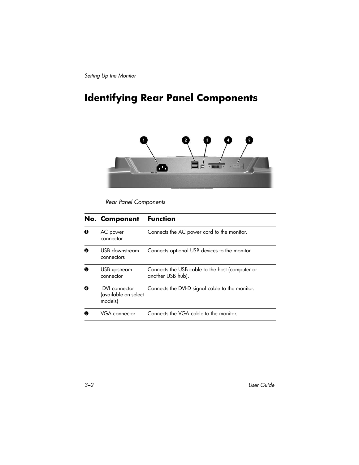# <span id="page-11-0"></span>**Identifying Rear Panel Components**



*Rear Panel Components*

|   | <b>No. Component</b>                             | <b>Function</b>                                                      |
|---|--------------------------------------------------|----------------------------------------------------------------------|
| 0 | AC power<br>connector                            | Connects the AC power cord to the monitor.                           |
| ❷ | USB downstream<br>connectors                     | Connects optional USB devices to the monitor.                        |
| ❸ | USB upstream<br>connector                        | Connects the USB cable to the host (computer or<br>another USB hub). |
| ❹ | DVI connector<br>(available on select<br>models) | Connects the DVI-D signal cable to the monitor.                      |
| 6 | VGA connector                                    | Connects the VGA cable to the monitor.                               |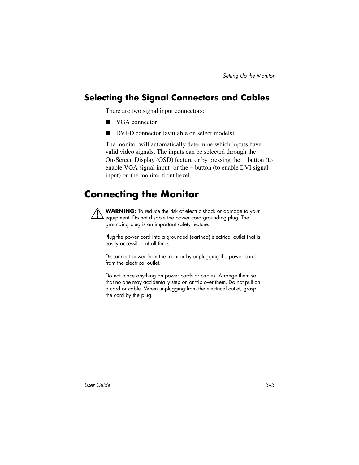### <span id="page-12-0"></span>**Selecting the Signal Connectors and Cables**

There are two signal input connectors:

- VGA connector
- DVI-D connector (available on select models)

The monitor will automatically determine which inputs have valid video signals. The inputs can be selected through the On-Screen Display (OSD) feature or by pressing the + button (to enable VGA signal input) or the – button (to enable DVI signal input) on the monitor front bezel.

# <span id="page-12-1"></span>**Connecting the Monitor**

WARNING: To reduce the risk of electric shock or damage to your equipment: Do not disable the power cord grounding plug. The grounding plug is an important safety feature.

Plug the power cord into a grounded (earthed) electrical outlet that is easily accessible at all times.

Disconnect power from the monitor by unplugging the power cord from the electrical outlet.

Do not place anything on power cords or cables. Arrange them so that no one may accidentally step on or trip over them. Do not pull on a cord or cable. When unplugging from the electrical outlet, grasp the cord by the plug.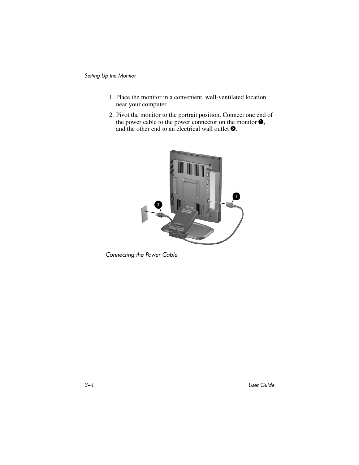- 1. Place the monitor in a convenient, well-ventilated location near your computer.
- 2. Pivot the monitor to the portrait position. Connect one end of the power cable to the power connector on the monitor  $\bullet$ , and the other end to an electrical wall outlet  $\bullet$ .



*Connecting the Power Cable*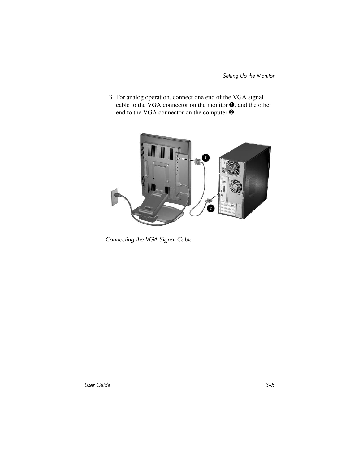3. For analog operation, connect one end of the VGA signal cable to the VGA connector on the monitor  $\bullet$ , and the other end to the VGA connector on the computer  $\odot$ .



*Connecting the VGA Signal Cable*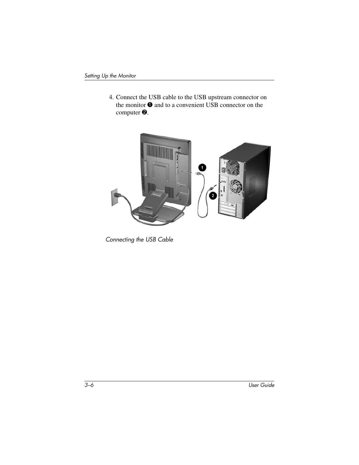4. Connect the USB cable to the USB upstream connector on the monitor  $\bullet$  and to a convenient USB connector on the computer  $\bullet$ .



*Connecting the USB Cable*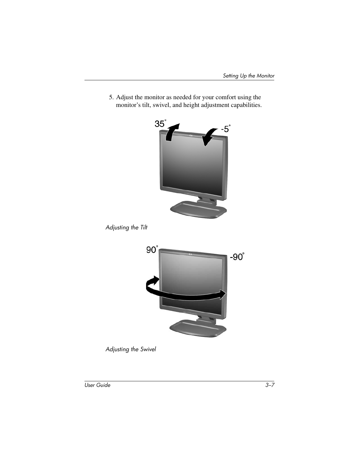5. Adjust the monitor as needed for your comfort using the monitor's tilt, swivel, and height adjustment capabilities.



*Adjusting the Tilt*



*Adjusting the Swivel*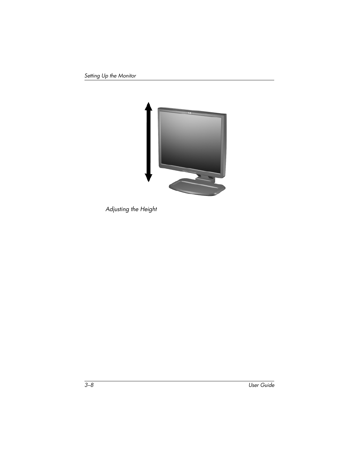

*Adjusting the Height*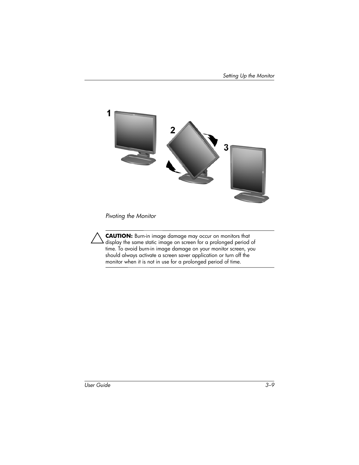

*Pivoting the Monitor*

Ä**CAUTION:** Burn-in image damage may occur on monitors that display the same static image on screen for a prolonged period of time. To avoid burn-in image damage on your monitor screen, you should always activate a screen saver application or turn off the monitor when it is not in use for a prolonged period of time.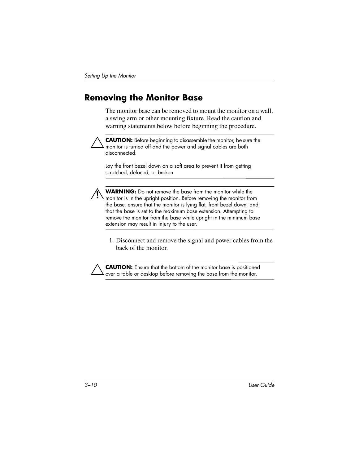#### <span id="page-19-0"></span>**Removing the Monitor Base**

The monitor base can be removed to mount the monitor on a wall, a swing arm or other mounting fixture. Read the caution and warning statements below before beginning the procedure.



**CAUTION:** Before beginning to disassemble the monitor, be sure the monitor is turned off and the power and signal cables are both disconnected.

Lay the front bezel down on a soft area to prevent it from getting scratched, defaced, or broken



Å**WARNING:** Do not remove the base from the monitor while the monitor is in the upright position. Before removing the monitor from the base, ensure that the monitor is lying flat, front bezel down, and that the base is set to the maximum base extension. Attempting to remove the monitor from the base while upright in the minimum base extension may result in injury to the user.

1. Disconnect and remove the signal and power cables from the back of the monitor.

**CAUTION:** Ensure that the bottom of the monitor base is positioned over a table or desktop before removing the base from the monitor.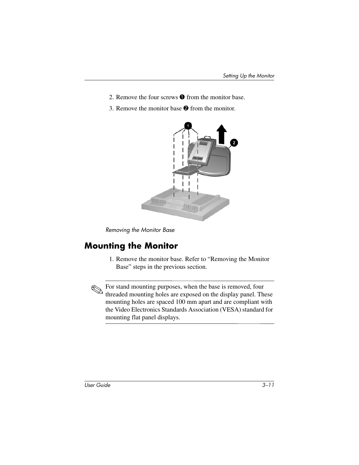- 2. Remove the four screws  $\bullet$  from the monitor base.
- 3. Remove the monitor base  $\bullet$  from the monitor.



*Removing the Monitor Base*

#### <span id="page-20-0"></span>**Mounting the Monitor**

1. Remove the monitor base. Refer to "Removing the Monitor Base" steps in the previous section.

**Example 1** For stand mounting purposes, when the base is removed, four standard method is removed. threaded mounting holes are exposed on the display panel. These mounting holes are spaced 100 mm apart and are compliant with the Video Electronics Standards Association (VESA) standard for mounting flat panel displays.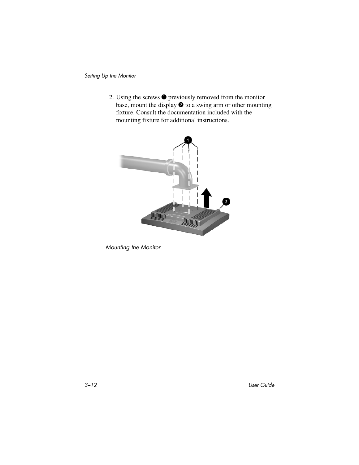2. Using the screws  $\bullet$  previously removed from the monitor base, mount the display  $\bullet$  to a swing arm or other mounting fixture. Consult the documentation included with the mounting fixture for additional instructions.



*Mounting the Monitor*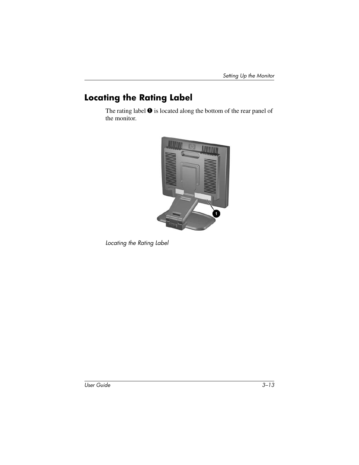### <span id="page-22-0"></span>**Locating the Rating Label**

The rating label  $\bullet$  is located along the bottom of the rear panel of the monitor.



*Locating the Rating Label*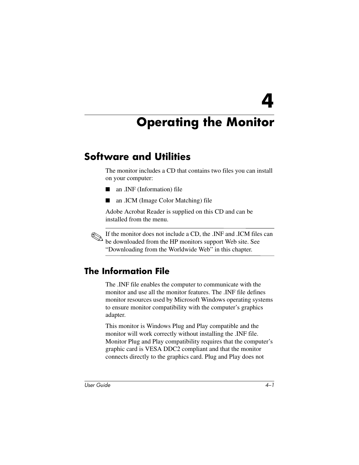**4**

# <span id="page-23-0"></span>**Operating the Monitor**

# <span id="page-23-2"></span><span id="page-23-1"></span>**Software and Utilities**

The monitor includes a CD that contains two files you can install on your computer:

- an .INF (Information) file
- an .ICM (Image Color Matching) file

Adobe Acrobat Reader is supplied on this CD and can be installed from the menu.

If the monitor does not include a CD, the .INF and .ICM files can be downloaded from the HP monitors support Web site. See "Downloading from the Worldwide Web" in this chapter.

#### <span id="page-23-3"></span>**The Information File**

The .INF file enables the computer to communicate with the monitor and use all the monitor features. The .INF file defines monitor resources used by Microsoft Windows operating systems to ensure monitor compatibility with the computer's graphics adapter.

This monitor is Windows Plug and Play compatible and the monitor will work correctly without installing the .INF file. Monitor Plug and Play compatibility requires that the computer's graphic card is VESA DDC2 compliant and that the monitor connects directly to the graphics card. Plug and Play does not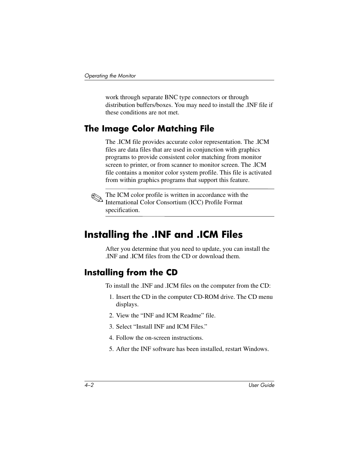work through separate BNC type connectors or through distribution buffers/boxes. You may need to install the .INF file if these conditions are not met.

#### <span id="page-24-0"></span>**The Image Color Matching File**

The .ICM file provides accurate color representation. The .ICM files are data files that are used in conjunction with graphics programs to provide consistent color matching from monitor screen to printer, or from scanner to monitor screen. The .ICM file contains a monitor color system profile. This file is activated from within graphics programs that support this feature.



The ICM color profile is written in accordance with the International Color Consortium (ICC) Profile Format specification.

## <span id="page-24-1"></span>**Installing the .INF and .ICM Files**

After you determine that you need to update, you can install the .INF and .ICM files from the CD or download them.

#### <span id="page-24-2"></span>**Installing from the CD**

To install the .INF and .ICM files on the computer from the CD:

- 1. Insert the CD in the computer CD-ROM drive. The CD menu displays.
- 2. View the "INF and ICM Readme" file.
- 3. Select "Install INF and ICM Files."
- 4. Follow the on-screen instructions.
- 5. After the INF software has been installed, restart Windows.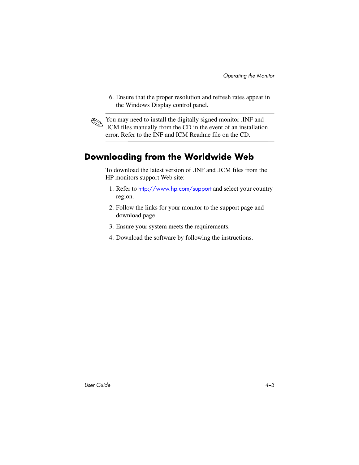6. Ensure that the proper resolution and refresh rates appear in the Windows Display control panel.

You may need to install the digitally signed monitor .INF and .ICM files manually from the CD in the event of an installation error. Refer to the INF and ICM Readme file on the CD.

#### <span id="page-25-0"></span>**Downloading from the Worldwide Web**

To download the latest version of .INF and .ICM files from the HP monitors support Web site:

- 1. Refer to <http://www.hp.com/support> and select your country region.
- 2. Follow the links for your monitor to the support page and download page.
- 3. Ensure your system meets the requirements.
- 4. Download the software by following the instructions.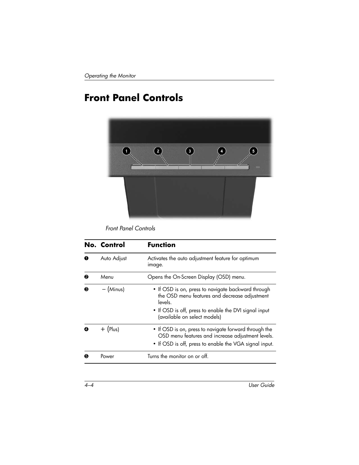# <span id="page-26-0"></span>**Front Panel Controls**



*Front Panel Controls*

|           | No. Control | <b>Function</b>                                                                                                                                                                                         |
|-----------|-------------|---------------------------------------------------------------------------------------------------------------------------------------------------------------------------------------------------------|
| $\bullet$ | Auto Adjust | Activates the auto adjustment feature for optimum<br>image.                                                                                                                                             |
| ❷         | Menu        | Opens the On-Screen Display (OSD) menu.                                                                                                                                                                 |
| ❸         | $-$ (Minus) | • If OSD is on, press to navigate backward through<br>the OSD menu features and decrease adjustment<br>levels.<br>• If OSD is off, press to enable the DVI signal input<br>(available on select models) |
| ø         | $+$ (Plus)  | • If OSD is on, press to navigate forward through the<br>OSD menu features and increase adjustment levels.<br>• If OSD is off, press to enable the VGA signal input.                                    |
| ❺         | Power       | Turns the monitor on or off.                                                                                                                                                                            |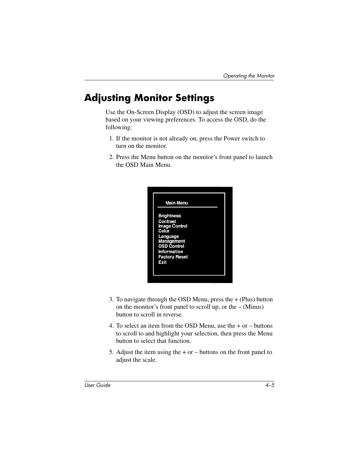# <span id="page-27-0"></span>**Adjusting Monitor Settings**

Use the On-Screen Display (OSD) to adjust the screen image based on your viewing preferences. To access the OSD, do the following:

- 1. If the monitor is not already on, press the Power switch to turn on the monitor.
- 2. Press the Menu button on the monitor's front panel to launch the OSD Main Menu.



- 3. To navigate through the OSD Menu, press the + (Plus) button on the monitor's front panel to scroll up, or the  $-$  (Minus) button to scroll in reverse.
- 4. To select an item from the OSD Menu, use the + or buttons to scroll to and highlight your selection, then press the Menu button to select that function.
- 5. Adjust the item using the  $+$  or  $-$  buttons on the front panel to adjust the scale.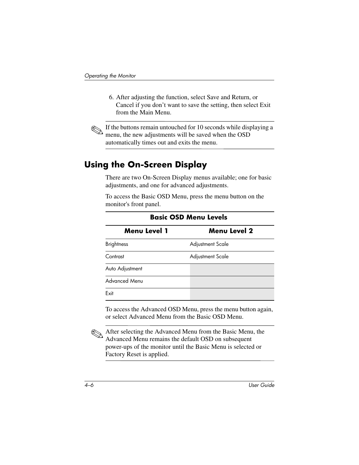6. After adjusting the function, select Save and Return, or Cancel if you don't want to save the setting, then select Exit from the Main Menu.



If the buttons remain untouched for 10 seconds while displaying a menu, the new adjustments will be saved when the OSD automatically times out and exits the menu.

#### <span id="page-28-0"></span>**Using the On-Screen Display**

There are two On-Screen Display menus available; one for basic adjustments, and one for advanced adjustments.

To access the Basic OSD Menu, press the menu button on the monitor's front panel.

| <b>Menu Level 1</b>  | <b>Menu Level 2</b>     |  |  |  |
|----------------------|-------------------------|--|--|--|
| <b>Brightness</b>    | <b>Adjustment Scale</b> |  |  |  |
| Contrast             | <b>Adjustment Scale</b> |  |  |  |
| Auto Adjustment      |                         |  |  |  |
| <b>Advanced Menu</b> |                         |  |  |  |
| Exit                 |                         |  |  |  |

#### **Basic OSD Menu Levels**

To access the Advanced OSD Menu, press the menu button again, or select Advanced Menu from the Basic OSD Menu.

✎After selecting the Advanced Menu from the Basic Menu, the Advanced Menu remains the default OSD on subsequent power-ups of the monitor until the Basic Menu is selected or Factory Reset is applied.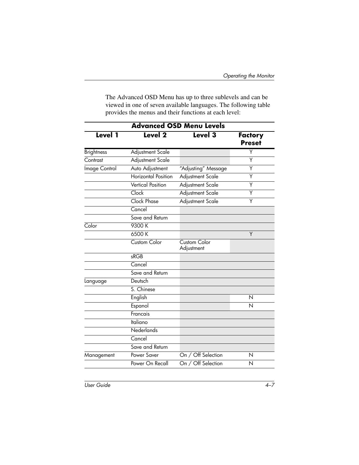The Advanced OSD Menu has up to three sublevels and can be viewed in one of seven available languages. The following table provides the menus and their functions at each level:

| <b>Advanced OSD Menu Levels</b> |                            |                            |                          |  |  |
|---------------------------------|----------------------------|----------------------------|--------------------------|--|--|
| Level 1                         | Level <sub>2</sub>         | Level 3                    | Factory<br><b>Preset</b> |  |  |
| <b>Brightness</b>               | <b>Adjustment Scale</b>    |                            | Y                        |  |  |
| Contrast                        | Adjustment Scale           |                            | Y                        |  |  |
| Image Control                   | Auto Adjustment            | "Adjusting" Message        | Υ                        |  |  |
|                                 | <b>Horizontal Position</b> | Adjustment Scale           | Υ                        |  |  |
|                                 | <b>Vertical Position</b>   | Adjustment Scale           | Υ                        |  |  |
|                                 | Clock                      | <b>Adjustment Scale</b>    | Υ                        |  |  |
|                                 | <b>Clock Phase</b>         | Adjustment Scale           | Υ                        |  |  |
|                                 | Cancel                     |                            |                          |  |  |
|                                 | Save and Return            |                            |                          |  |  |
| Color                           | 9300 K                     |                            |                          |  |  |
|                                 | 6500 K                     |                            | Y                        |  |  |
|                                 | Custom Color               | Custom Color<br>Adjustment |                          |  |  |
|                                 | sRGB                       |                            |                          |  |  |
|                                 | Cancel                     |                            |                          |  |  |
|                                 | Save and Return            |                            |                          |  |  |
| Language                        | Deutsch                    |                            |                          |  |  |
|                                 | S. Chinese                 |                            |                          |  |  |
|                                 | English                    |                            | N                        |  |  |
|                                 | Espanol                    |                            | N                        |  |  |
|                                 | Francais                   |                            |                          |  |  |
|                                 | <b>Italiano</b>            |                            |                          |  |  |
|                                 | Nederlands                 |                            |                          |  |  |
|                                 | Cancel                     |                            |                          |  |  |
|                                 | Save and Return            |                            |                          |  |  |
| Management                      | Power Saver                | On / Off Selection         | N                        |  |  |
|                                 | Power On Recall            | On / Off Selection         | N                        |  |  |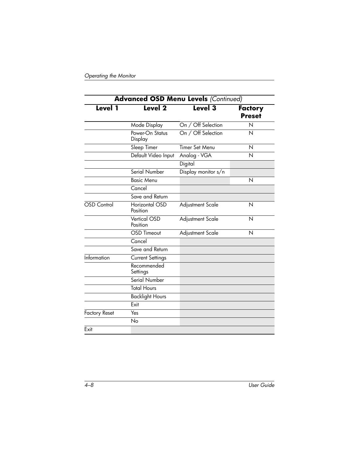| <b>Advanced OSD Menu Levels (Continued)</b> |                                 |                         |                                 |
|---------------------------------------------|---------------------------------|-------------------------|---------------------------------|
| Level 1                                     | Level <sub>2</sub>              | Level 3                 | <b>Factory</b><br><b>Preset</b> |
|                                             | Mode Display                    | On / Off Selection      | N                               |
|                                             | Power-On Status<br>Display      | On / Off Selection      | N                               |
|                                             | Sleep Timer                     | Timer Set Menu          | N                               |
|                                             | Default Video Input             | Analog - VGA            | N                               |
|                                             |                                 | Digital                 |                                 |
|                                             | Serial Number                   | Display monitor s/n     |                                 |
|                                             | <b>Basic Menu</b>               |                         | N                               |
|                                             | Cancel                          |                         |                                 |
|                                             | Save and Return                 |                         |                                 |
| <b>OSD</b> Control                          | Horizontal OSD<br>Position      | <b>Adjustment Scale</b> | N                               |
|                                             | <b>Vertical OSD</b><br>Position | Adjustment Scale        | N                               |
|                                             | <b>OSD Timeout</b>              | Adjustment Scale        | N                               |
|                                             | Cancel                          |                         |                                 |
|                                             | Save and Return                 |                         |                                 |
| Information                                 | <b>Current Settings</b>         |                         |                                 |
|                                             | Recommended<br>Settings         |                         |                                 |
|                                             | Serial Number                   |                         |                                 |
|                                             | <b>Total Hours</b>              |                         |                                 |
|                                             | <b>Backlight Hours</b>          |                         |                                 |
|                                             | Exit                            |                         |                                 |
| <b>Factory Reset</b>                        | Yes                             |                         |                                 |
|                                             | No                              |                         |                                 |
| Exit                                        |                                 |                         |                                 |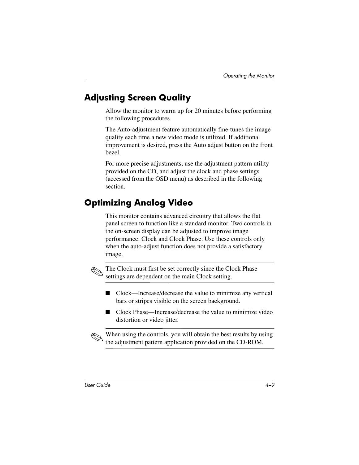#### <span id="page-31-0"></span>**Adjusting Screen Quality**

Allow the monitor to warm up for 20 minutes before performing the following procedures.

The Auto-adjustment feature automatically fine-tunes the image quality each time a new video mode is utilized. If additional improvement is desired, press the Auto adjust button on the front bezel.

For more precise adjustments, use the adjustment pattern utility provided on the CD, and adjust the clock and phase settings (accessed from the OSD menu) as described in the following section.

### <span id="page-31-1"></span>**Optimizing Analog Video**

This monitor contains advanced circuitry that allows the flat panel screen to function like a standard monitor. Two controls in the on-screen display can be adjusted to improve image performance: Clock and Clock Phase. Use these controls only when the auto-adjust function does not provide a satisfactory image.



The Clock must first be set correctly since the Clock Phase settings are dependent on the main Clock setting.

- Clock—Increase/decrease the value to minimize any vertical bars or stripes visible on the screen background.
- Clock Phase—Increase/decrease the value to minimize video distortion or video jitter.

When using the controls, you will obtain the best results by using the adjustment pattern application provided on the CD-ROM.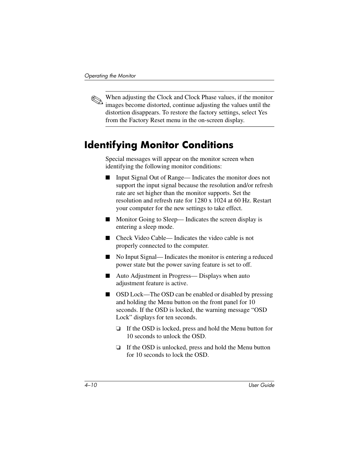✎ When adjusting the Clock and Clock Phase values, if the monitor images become distorted, continue adjusting the values until the distortion disappears. To restore the factory settings, select Yes from the Factory Reset menu in the on-screen display.

#### <span id="page-32-0"></span>**Identifying Monitor Conditions**

Special messages will appear on the monitor screen when identifying the following monitor conditions:

- Input Signal Out of Range— Indicates the monitor does not support the input signal because the resolution and/or refresh rate are set higher than the monitor supports. Set the resolution and refresh rate for 1280 x 1024 at 60 Hz. Restart your computer for the new settings to take effect.
- Monitor Going to Sleep—Indicates the screen display is entering a sleep mode.
- Check Video Cable— Indicates the video cable is not properly connected to the computer.
- No Input Signal—Indicates the monitor is entering a reduced power state but the power saving feature is set to off.
- Auto Adjustment in Progress— Displays when auto adjustment feature is active.
- OSD Lock—The OSD can be enabled or disabled by pressing and holding the Menu button on the front panel for 10 seconds. If the OSD is locked, the warning message "OSD Lock" displays for ten seconds.
	- ❏ If the OSD is locked, press and hold the Menu button for 10 seconds to unlock the OSD.
	- ❏ If the OSD is unlocked, press and hold the Menu button for 10 seconds to lock the OSD.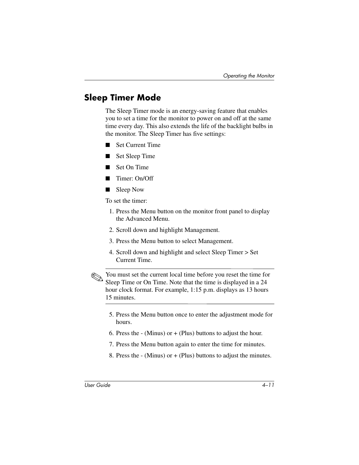#### <span id="page-33-0"></span>**Sleep Timer Mode**

The Sleep Timer mode is an energy-saving feature that enables you to set a time for the monitor to power on and off at the same time every day. This also extends the life of the backlight bulbs in the monitor. The Sleep Timer has five settings:

**Set Current Time** 

**Set Sleep Time** 

- **Set On Time**
- Timer: On/Off
- Sleep Now

To set the timer:

- 1. Press the Menu button on the monitor front panel to display the Advanced Menu.
- 2. Scroll down and highlight Management.
- 3. Press the Menu button to select Management.
- 4. Scroll down and highlight and select Sleep Timer > Set Current Time.

✎You must set the current local time before you reset the time for Sleep Time or On Time. Note that the time is displayed in a 24 hour clock format. For example, 1:15 p.m. displays as 13 hours 15 minutes.

- 5. Press the Menu button once to enter the adjustment mode for hours.
- 6. Press the  $-$  (Minus) or  $+$  (Plus) buttons to adjust the hour.
- 7. Press the Menu button again to enter the time for minutes.
- 8. Press the  $-$  (Minus) or  $+$  (Plus) buttons to adjust the minutes.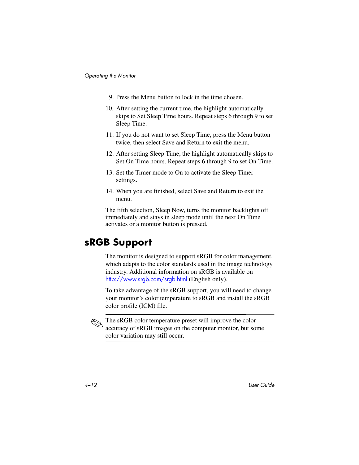- 9. Press the Menu button to lock in the time chosen.
- 10. After setting the current time, the highlight automatically skips to Set Sleep Time hours. Repeat steps 6 through 9 to set Sleep Time.
- 11. If you do not want to set Sleep Time, press the Menu button twice, then select Save and Return to exit the menu.
- 12. After setting Sleep Time, the highlight automatically skips to Set On Time hours. Repeat steps 6 through 9 to set On Time.
- 13. Set the Timer mode to On to activate the Sleep Timer settings.
- 14. When you are finished, select Save and Return to exit the menu.

The fifth selection, Sleep Now, turns the monitor backlights off immediately and stays in sleep mode until the next On Time activates or a monitor button is pressed.

#### <span id="page-34-0"></span>**sRGB Support**

The monitor is designed to support sRGB for color management, which adapts to the color standards used in the image technology industry. Additional information on sRGB is available on <http://www.srgb.com/srgb.html> (English only).

To take advantage of the sRGB support, you will need to change your monitor's color temperature to sRGB and install the sRGB color profile (ICM) file.

The sRGB color temperature preset will improve the color accuracy of sRGB images on the computer monitor, but some color variation may still occur.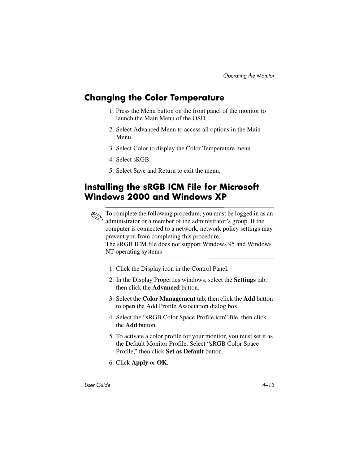#### <span id="page-35-0"></span>**Changing the Color Temperature**

- 1. Press the Menu button on the front panel of the monitor to launch the Main Menu of the OSD.
- 2. Select Advanced Menu to access all options in the Main Menu.
- 3. Select Color to display the Color Temperature menu.
- 4. Select sRGB.
- 5. Select Save and Return to exit the menu.

#### <span id="page-35-1"></span>**Installing the sRGB ICM File for Microsoft Windows 2000 and Windows XP**

✎To complete the following procedure, you must be logged in as an administrator or a member of the administrator's group. If the computer is connected to a network, network policy settings may prevent you from completing this procedure.

The sRGB ICM file does not support Windows 95 and Windows NT operating systems

- 1. Click the Display icon in the Control Panel.
- 2. In the Display Properties windows, select the **Settings** tab, then click the **Advanced** button.
- 3. Select the **Color Management** tab, then click the **Add** button to open the Add Profile Association dialog box.
- 4. Select the "sRGB Color Space Profile.icm" file, then click the **Add** button
- 5. To activate a color profile for your monitor, you must set it as the Default Monitor Profile. Select "sRGB Color Space Profile," then click **Set as Default** button.
- 6. Click **Apply** or **OK**.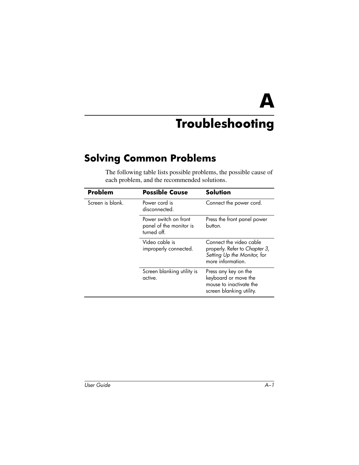**A**

# **Troubleshooting**

# <span id="page-36-2"></span><span id="page-36-1"></span><span id="page-36-0"></span>**Solving Common Problems**

The following table lists possible problems, the possible cause of each problem, and the recommended solutions.

| Problem          | <b>Possible Cause</b>                                           | <b>Solution</b>                                                                                              |
|------------------|-----------------------------------------------------------------|--------------------------------------------------------------------------------------------------------------|
| Screen is blank. | Power cord is<br>disconnected.                                  | Connect the power cord.                                                                                      |
|                  | Power switch on front<br>panel of the monitor is<br>turned off. | Press the front panel power<br>button.                                                                       |
|                  | Video cable is<br>improperly connected.                         | Connect the video cable<br>properly. Refer to Chapter 3,<br>Setting Up the Monitor, for<br>more information. |
|                  | Screen blanking utility is<br>active.                           | Press any key on the<br>keyboard or move the<br>mouse to inactivate the<br>screen blanking utility.          |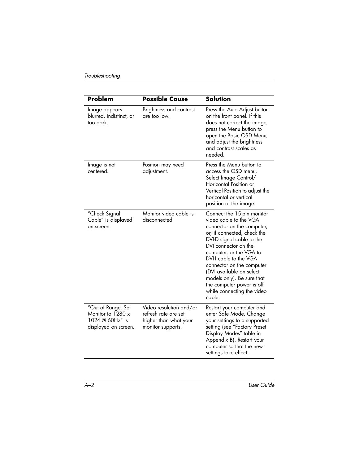| Problem                                                                            | <b>Possible Cause</b>                                                                         | <b>Solution</b>                                                                                                                                                                                                                                                                                                                                                                         |
|------------------------------------------------------------------------------------|-----------------------------------------------------------------------------------------------|-----------------------------------------------------------------------------------------------------------------------------------------------------------------------------------------------------------------------------------------------------------------------------------------------------------------------------------------------------------------------------------------|
| Image appears<br>blurred, indistinct, or<br>too dark.                              | Brightness and contrast<br>are too low.                                                       | Press the Auto Adjust button<br>on the front panel. If this<br>does not correct the image,<br>press the Menu button to<br>open the Basic OSD Menu,<br>and adjust the brightness<br>and contrast scales as<br>needed.                                                                                                                                                                    |
| Image is not<br>centered.                                                          | Position may need<br>adjustment.                                                              | Press the Menu button to<br>access the OSD menu.<br>Select Image Control/<br>Horizontal Position or<br>Vertical Position to adjust the<br>horizontal or vertical<br>position of the image.                                                                                                                                                                                              |
| "Check Signal<br>Cable" is displayed<br>on screen.                                 | Monitor video cable is<br>disconnected.                                                       | Connect the 15-pin monitor<br>video cable to the VGA<br>connector on the computer,<br>or, if connected, check the<br>DVI-D signal cable to the<br>DVI connector on the<br>computer, or the VGA to<br>DVI-I cable to the VGA<br>connector on the computer<br>(DVI available on select<br>models only). Be sure that<br>the computer power is off<br>while connecting the video<br>cable. |
| "Out of Range. Set<br>Monitor to 1280 x<br>1024 @ 60Hz" is<br>displayed on screen. | Video resolution and/or<br>refresh rate are set<br>higher than what your<br>monitor supports. | Restart your computer and<br>enter Safe Mode. Change<br>your settings to a supported<br>setting (see "Factory Preset<br>Display Modes" table in<br>Appendix B). Restart your<br>computer so that the new<br>settings take effect.                                                                                                                                                       |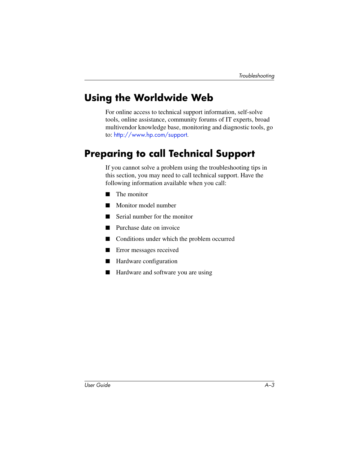# <span id="page-38-0"></span>**Using the Worldwide Web**

For online access to technical support information, self-solve tools, online assistance, community forums of IT experts, broad multivendor knowledge base, monitoring and diagnostic tools, go to: [http://www.hp.com/support](http://www.hp.com/go/support).

# <span id="page-38-1"></span>**Preparing to call Technical Support**

If you cannot solve a problem using the troubleshooting tips in this section, you may need to call technical support. Have the following information available when you call:

- The monitor
- Monitor model number
- Serial number for the monitor
- Purchase date on invoice
- Conditions under which the problem occurred
- Error messages received
- Hardware configuration
- Hardware and software you are using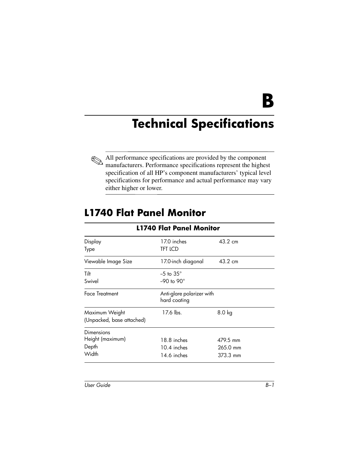**B**

# <span id="page-39-0"></span>**Technical Specifications**

<span id="page-39-1"></span>

All performance specifications are provided by the component manufacturers. Performance specifications represent the highest specification of all HP's component manufacturers' typical level specifications for performance and actual performance may vary either higher or lower.

## <span id="page-39-2"></span>**L1740 Flat Panel Monitor**

| LT740 FIAT PANEL MONITOR  |                                           |          |  |
|---------------------------|-------------------------------------------|----------|--|
| Display<br>Type           | 17.0 inches<br><b>TFT LCD</b>             | 43.2 cm  |  |
| Viewable Image Size       | 17.0-inch diagonal                        | 43.2 cm  |  |
| Tilt                      | $-5$ to $35^\circ$                        |          |  |
| Swivel                    | $-90$ to $90^\circ$                       |          |  |
| <b>Face Treatment</b>     | Anti-glare polarizer with<br>hard coating |          |  |
| Maximum Weight            | 17.6 lbs.                                 | 8.0 kg   |  |
| (Unpacked, base attached) |                                           |          |  |
| Dimensions                |                                           |          |  |
| Height (maximum)          | 18.8 inches                               | 479.5 mm |  |
| Depth                     | 10.4 inches                               | 265.0 mm |  |
| Width                     | 14.6 inches                               | 373.3 mm |  |

**L1740 Flat Panel Monitor**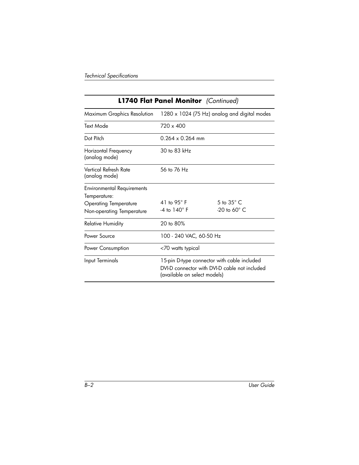#### **L1740 Flat Panel Monitor** *(Continued)*

| Maximum Graphics Resolution                                                                                    | 1280 x 1024 (75 Hz) analog and digital modes                                                                                 |                                                  |  |
|----------------------------------------------------------------------------------------------------------------|------------------------------------------------------------------------------------------------------------------------------|--------------------------------------------------|--|
| Text Mode                                                                                                      | $720 \times 400$                                                                                                             |                                                  |  |
| Dot Pitch                                                                                                      | $0.264 \times 0.264$ mm                                                                                                      |                                                  |  |
| Horizontal Frequency<br>(analog mode)                                                                          | 30 to 83 $kHz$                                                                                                               |                                                  |  |
| Vertical Refresh Rate<br>(analog mode)                                                                         | 56 to 76 Hz                                                                                                                  |                                                  |  |
| <b>Environmental Requirements</b><br>Temperature:<br><b>Operating Temperature</b><br>Non-operating Temperature | 41 to 95° F<br>$-4$ to $140^{\circ}$ F                                                                                       | 5 to $35^{\circ}$ C.<br>$-20$ to 60 $^{\circ}$ C |  |
| <b>Relative Humidity</b>                                                                                       | 20 to 80%                                                                                                                    |                                                  |  |
| Power Source                                                                                                   | 100 - 240 VAC, 60-50 Hz                                                                                                      |                                                  |  |
| Power Consumption                                                                                              | <70 watts typical                                                                                                            |                                                  |  |
| Input Terminals                                                                                                | 15-pin D-type connector with cable included<br>DVI-D connector with DVI-D cable not included<br>(available on select models) |                                                  |  |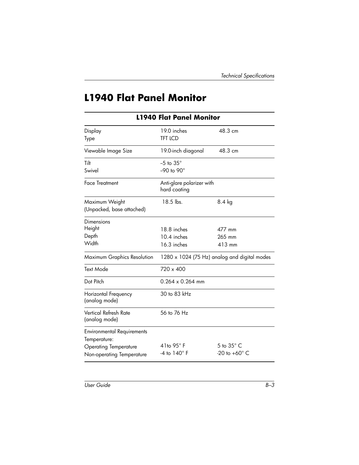# <span id="page-41-0"></span>**L1940 Flat Panel Monitor**

| <b>L1940 Flat Panel Monitor</b>                   |                                           |                                              |  |  |
|---------------------------------------------------|-------------------------------------------|----------------------------------------------|--|--|
| Display<br>Type                                   | 19.0 inches<br><b>TFT LCD</b>             | 48.3 cm                                      |  |  |
| Viewable Image Size                               | 19.0-inch diagonal                        | 48.3 cm                                      |  |  |
| <b>Tilt</b>                                       | $-5$ to $35^\circ$                        |                                              |  |  |
| Swivel                                            | $-90$ to $90^\circ$                       |                                              |  |  |
| <b>Face Treatment</b>                             | Anti-glare polarizer with<br>hard coating |                                              |  |  |
| Maximum Weight<br>(Unpacked, base attached)       | 18.5 lbs.                                 | 8.4 kg                                       |  |  |
| Dimensions                                        |                                           |                                              |  |  |
| Height                                            | 18.8 inches                               | 477 mm                                       |  |  |
| Depth                                             | 10.4 inches                               | 265 mm                                       |  |  |
| Width                                             | 16.3 inches                               | 413 mm                                       |  |  |
| Maximum Graphics Resolution                       |                                           | 1280 x 1024 (75 Hz) analog and digital modes |  |  |
| <b>Text Mode</b>                                  | $720 \times 400$                          |                                              |  |  |
| Dot Pitch                                         | $0.264 \times 0.264$ mm                   |                                              |  |  |
| Horizontal Frequency<br>(analog mode)             | 30 to 83 kHz                              |                                              |  |  |
| Vertical Refresh Rate<br>(analog mode)            | 56 to 76 Hz                               |                                              |  |  |
| <b>Environmental Requirements</b><br>Temperature: |                                           |                                              |  |  |
| <b>Operating Temperature</b>                      | 41to $95^\circ$ F                         | $5$ to $35^\circ$ C                          |  |  |
| Non-operating Temperature                         | $-4$ to $140^\circ$ F                     | -20 to $+60^\circ$ C                         |  |  |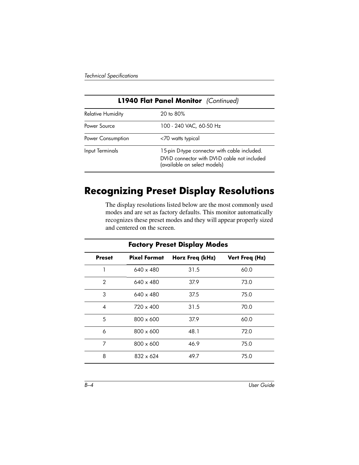| <b>L1940 Flat Panel Monitor</b> (Continued) |                                                                                                                               |  |  |
|---------------------------------------------|-------------------------------------------------------------------------------------------------------------------------------|--|--|
| <b>Relative Humidity</b>                    | $20 \text{ to } 80\%$                                                                                                         |  |  |
| Power Source                                | 100 - 240 VAC, 60-50 Hz                                                                                                       |  |  |
| Power Consumption                           | <70 watts typical                                                                                                             |  |  |
| Input Terminals                             | 15-pin D-type connector with cable included.<br>DVI-D connector with DVI-D cable not included<br>(available on select models) |  |  |

## <span id="page-42-0"></span>**Recognizing Preset Display Resolutions**

The display resolutions listed below are the most commonly used modes and are set as factory defaults. This monitor automatically recognizes these preset modes and they will appear properly sized and centered on the screen.

| <b>Factory Preset Display Modes</b> |                     |                 |                |
|-------------------------------------|---------------------|-----------------|----------------|
| <b>Preset</b>                       | <b>Pixel Format</b> | Horz Freq (kHz) | Vert Freq (Hz) |
|                                     | $640 \times 480$    | 31.5            | 60.0           |
| $\mathcal{P}$                       | $640 \times 480$    | 37.9            | 73.0           |
| 3                                   | $640 \times 480$    | 37.5            | 75.0           |
| 4                                   | $720 \times 400$    | 31.5            | 70.0           |
| 5                                   | $800 \times 600$    | 37.9            | 60.0           |
| 6                                   | $800 \times 600$    | 48.1            | 72.0           |
| 7                                   | $800 \times 600$    | 46.9            | 75.0           |
| 8                                   | $832 \times 624$    | 49.7            | 75.0           |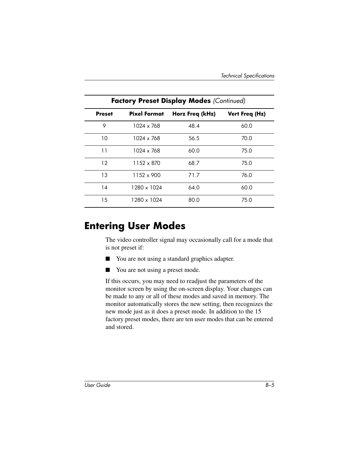| <b>Factory Preset Display Modes (Continued)</b> |                     |                 |                |
|-------------------------------------------------|---------------------|-----------------|----------------|
| <b>Preset</b>                                   | <b>Pixel Format</b> | Horz Freq (kHz) | Vert Freq (Hz) |
| 9                                               | 1024 x 768          | 48.4            | 60.0           |
| 10                                              | 1024 x 768          | 56.5            | 70.0           |
| 11                                              | 1024 x 768          | 60.0            | 75.0           |
| 12                                              | 1152 x 870          | 68.7            | 75.0           |
| 13                                              | $1152 \times 900$   | 71.7            | 76.0           |
| 14                                              | 1280 x 1024         | 64.0            | 60.0           |
| 15                                              | 1280 x 1024         | 80.0            | 75.0           |

## <span id="page-43-0"></span>**Entering User Modes**

The video controller signal may occasionally call for a mode that is not preset if:

- You are not using a standard graphics adapter.
- You are not using a preset mode.

If this occurs, you may need to readjust the parameters of the monitor screen by using the on-screen display. Your changes can be made to any or all of these modes and saved in memory. The monitor automatically stores the new setting, then recognizes the new mode just as it does a preset mode. In addition to the 15 factory preset modes, there are ten user modes that can be entered and stored.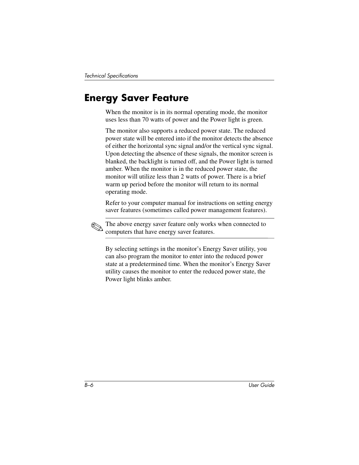# <span id="page-44-0"></span>**Energy Saver Feature**

When the monitor is in its normal operating mode, the monitor uses less than 70 watts of power and the Power light is green.

The monitor also supports a reduced power state. The reduced power state will be entered into if the monitor detects the absence of either the horizontal sync signal and/or the vertical sync signal. Upon detecting the absence of these signals, the monitor screen is blanked, the backlight is turned off, and the Power light is turned amber. When the monitor is in the reduced power state, the monitor will utilize less than 2 watts of power. There is a brief warm up period before the monitor will return to its normal operating mode.

Refer to your computer manual for instructions on setting energy saver features (sometimes called power management features).

The above energy saver feature only works when connected to computers that have energy saver features.

By selecting settings in the monitor's Energy Saver utility, you can also program the monitor to enter into the reduced power state at a predetermined time. When the monitor's Energy Saver utility causes the monitor to enter the reduced power state, the Power light blinks amber.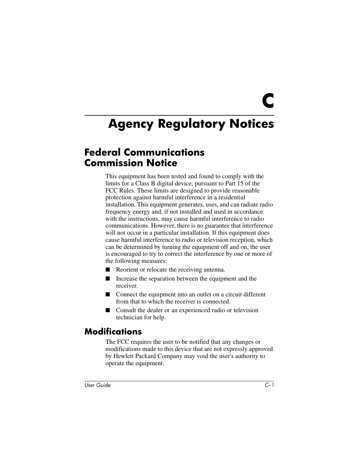**C**

# <span id="page-45-1"></span><span id="page-45-0"></span>**Agency Regulatory Notices**

#### <span id="page-45-2"></span>**Federal Communications Commission Notice**

This equipment has been tested and found to comply with the limits for a Class B digital device, pursuant to Part 15 of the FCC Rules. These limits are designed to provide reasonable protection against harmful interference in a residential installation. This equipment generates, uses, and can radiate radio frequency energy and, if not installed and used in accordance with the instructions, may cause harmful interference to radio communications. However, there is no guarantee that interference will not occur in a particular installation. If this equipment does cause harmful interference to radio or television reception, which can be determined by turning the equipment off and on, the user is encouraged to try to correct the interference by one or more of the following measures:

- Reorient or relocate the receiving antenna.
- Increase the separation between the equipment and the receiver.
- Connect the equipment into an outlet on a circuit different from that to which the receiver is connected.
- Consult the dealer or an experienced radio or television technician for help.

#### <span id="page-45-3"></span>**Modifications**

The FCC requires the user to be notified that any changes or modifications made to this device that are not expressly approved by Hewlett Packard Company may void the user's authority to operate the equipment.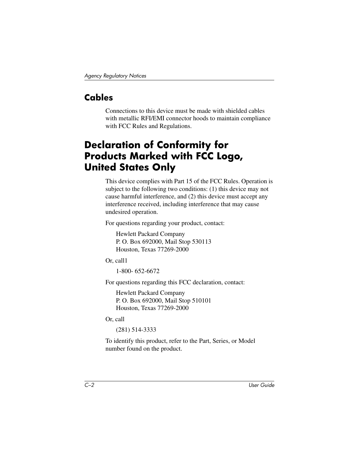## <span id="page-46-0"></span>**Cables**

Connections to this device must be made with shielded cables with metallic RFI/EMI connector hoods to maintain compliance with FCC Rules and Regulations.

# <span id="page-46-1"></span>**Declaration of Conformity for Products Marked with FCC Logo, United States Only**

This device complies with Part 15 of the FCC Rules. Operation is subject to the following two conditions: (1) this device may not cause harmful interference, and (2) this device must accept any interference received, including interference that may cause undesired operation.

For questions regarding your product, contact:

Hewlett Packard Company P. O. Box 692000, Mail Stop 530113 Houston, Texas 77269-2000

Or, call1

1-800- 652-6672

For questions regarding this FCC declaration, contact:

Hewlett Packard Company P. O. Box 692000, Mail Stop 510101 Houston, Texas 77269-2000

Or, call

(281) 514-3333

To identify this product, refer to the Part, Series, or Model number found on the product.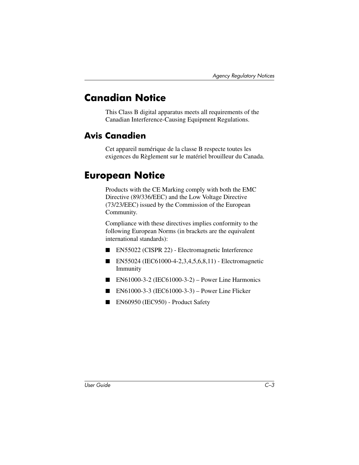# <span id="page-47-0"></span>**Canadian Notice**

This Class B digital apparatus meets all requirements of the Canadian Interference-Causing Equipment Regulations.

#### <span id="page-47-1"></span>**Avis Canadien**

Cet appareil numérique de la classe B respecte toutes les exigences du Règlement sur le matériel brouilleur du Canada.

### <span id="page-47-2"></span>**European Notice**

Products with the CE Marking comply with both the EMC Directive (89/336/EEC) and the Low Voltage Directive (73/23/EEC) issued by the Commission of the European Community.

Compliance with these directives implies conformity to the following European Norms (in brackets are the equivalent international standards):

- EN55022 (CISPR 22) Electromagnetic Interference
- EN55024 (IEC61000-4-2,3,4,5,6,8,11) Electromagnetic Immunity
- $\blacksquare$  EN61000-3-2 (IEC61000-3-2) Power Line Harmonics
- EN61000-3-3 (IEC61000-3-3) Power Line Flicker
- EN60950 (IEC950) Product Safety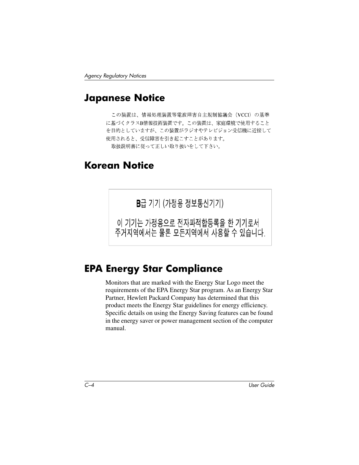#### <span id="page-48-0"></span>**Japanese Notice**

この装置は、情報処理装置等電波障害自主規制協議会 (VCCI) の基準 に基づくクラスB情報技術装置です。この装置は、家庭環境で使用すること を目的としていますが、この装置がラジオやテレビジョン受信機に近接して 使用されると、受信障害を引き起こすことがあります。 取扱説明書に従って正しい取り扱いをして下さい。

### <span id="page-48-1"></span>**Korean Notice**

B급 기기 (가정용 정보통신기기)

이 기기는 가정용으로 전자파적합등록을 한 기기로서 주거지역에서는 물론 모든지역에서 사용할 수 있습니다.

## <span id="page-48-2"></span>**EPA Energy Star Compliance**

Monitors that are marked with the Energy Star Logo meet the requirements of the EPA Energy Star program. As an Energy Star Partner, Hewlett Packard Company has determined that this product meets the Energy Star guidelines for energy efficiency. Specific details on using the Energy Saving features can be found in the energy saver or power management section of the computer manual.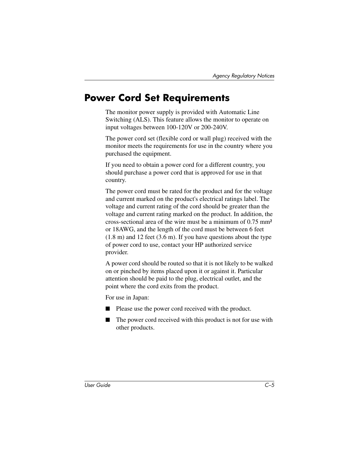## <span id="page-49-0"></span>**Power Cord Set Requirements**

The monitor power supply is provided with Automatic Line Switching (ALS). This feature allows the monitor to operate on input voltages between 100-120V or 200-240V.

The power cord set (flexible cord or wall plug) received with the monitor meets the requirements for use in the country where you purchased the equipment.

If you need to obtain a power cord for a different country, you should purchase a power cord that is approved for use in that country.

The power cord must be rated for the product and for the voltage and current marked on the product's electrical ratings label. The voltage and current rating of the cord should be greater than the voltage and current rating marked on the product. In addition, the cross-sectional area of the wire must be a minimum of 0.75 mm² or 18AWG, and the length of the cord must be between 6 feet (1.8 m) and 12 feet (3.6 m). If you have questions about the type of power cord to use, contact your HP authorized service provider.

A power cord should be routed so that it is not likely to be walked on or pinched by items placed upon it or against it. Particular attention should be paid to the plug, electrical outlet, and the point where the cord exits from the product.

For use in Japan:

- Please use the power cord received with the product.
- The power cord received with this product is not for use with other products.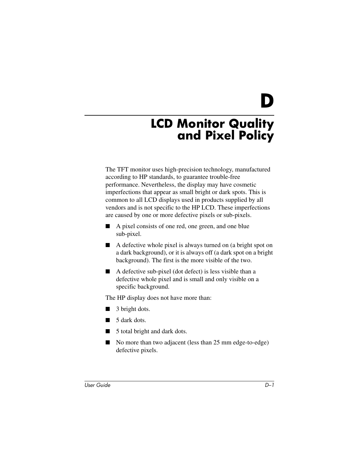**D**

# <span id="page-50-0"></span>**LCD Monitor Quality and Pixel Policy**

<span id="page-50-1"></span>The TFT monitor uses high-precision technology, manufactured according to HP standards, to guarantee trouble-free performance. Nevertheless, the display may have cosmetic imperfections that appear as small bright or dark spots. This is common to all LCD displays used in products supplied by all vendors and is not specific to the HP LCD. These imperfections are caused by one or more defective pixels or sub-pixels.

- A pixel consists of one red, one green, and one blue sub-pixel.
- A defective whole pixel is always turned on (a bright spot on a dark background), or it is always off (a dark spot on a bright background). The first is the more visible of the two.
- A defective sub-pixel (dot defect) is less visible than a defective whole pixel and is small and only visible on a specific background.

The HP display does not have more than:

- 3 bright dots.
- 5 dark dots.
- 5 total bright and dark dots.
- No more than two adjacent (less than 25 mm edge-to-edge) defective pixels.